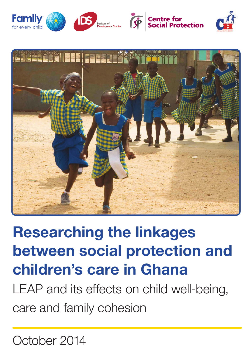





# Researching the linkages between social protection and children's care in Ghana

LEAP and its effects on child well-being, care and family cohesion

October 2014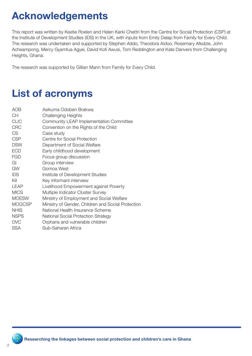# Acknowledgements

This report was written by Keetie Roelen and Helen Karki Chettri from the Centre for Social Protection (CSP) at the Institute of Development Studies (IDS) in the UK, with inputs from Emily Delap from Family for Every Child. The research was undertaken and supported by Stephen Addo, Theodora Aidoo, Rosemary Afedzie, John Acheampong, Mercy Gyamfua Agyei, David Kofi Awusi, Tom Reddington and Kate Danvers from Challenging Heights, Ghana.

The research was supported by Gillian Mann from Family for Every Child.

# List of acronyms

| AOB           | Asikuma Odoben Brakwa                              |
|---------------|----------------------------------------------------|
| <b>CH</b>     | <b>Challenging Heights</b>                         |
| <b>CLIC</b>   | Community LEAP Implementation Committee            |
| <b>CRC</b>    | Convention on the Rights of the Child              |
| CS.           | Case study                                         |
| <b>CSP</b>    | Centre for Social Protection                       |
| <b>DSW</b>    | Department of Social Welfare                       |
| <b>ECD</b>    | Early childhood development                        |
| <b>FGD</b>    | Focus group discussion                             |
| GI            | Group interview                                    |
| <b>GW</b>     | Gomoa West                                         |
| <b>IDS</b>    | Institute of Development Studies                   |
| KII           | Key informant interview                            |
| <b>LEAP</b>   | Livelihood Empowerment against Poverty             |
| <b>MICS</b>   | Multiple Indicator Cluster Survey                  |
| <b>MOESW</b>  | Ministry of Employment and Social Welfare          |
| <b>MOGCSP</b> | Ministry of Gender, Children and Social Protection |
| <b>NHIS</b>   | National Health Insurance Scheme                   |
| <b>NSPS</b>   | <b>National Social Protection Strategy</b>         |
| <b>OVC</b>    | Orphans and vulnerable children                    |
| <b>SSA</b>    | Sub-Saharan Africa                                 |

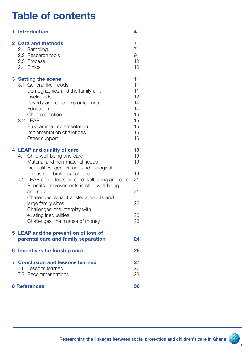# Table of contents

| 1 Introduction                                                                                                                                                                                                                                                                                                                                                                                                                                            | 4                                                              |
|-----------------------------------------------------------------------------------------------------------------------------------------------------------------------------------------------------------------------------------------------------------------------------------------------------------------------------------------------------------------------------------------------------------------------------------------------------------|----------------------------------------------------------------|
| 2 Data and methods<br>2.1 Sampling<br>2.2 Research tools<br>2.3 Process<br>2.4 Ethics                                                                                                                                                                                                                                                                                                                                                                     | 7<br>$\overline{7}$<br>9<br>10<br>10                           |
| 3 Setting the scene<br>3.1 General livelihoods<br>Demographics and the family unit<br>Livelihoods<br>Poverty and children's outcomes<br>Education<br>Child protection<br>3.2 LEAP<br>Programme implementation<br>Implementation challenges<br>Other support                                                                                                                                                                                               | 11<br>11<br>11<br>12<br>14<br>14<br>15<br>15<br>15<br>16<br>16 |
| 4 LEAP and quality of care<br>4.1 Child well-being and care<br>Material and non-material needs<br>Inequalities: gender, age and biological<br>versus non-biological children<br>4.2 LEAP and effects on child well-being and care<br>Benefits: improvements in child well-being<br>and care<br>Challenges: small transfer amounts and<br>large family sizes<br>Challenges: the interplay with<br>existing inequalities<br>Challenges: the misuse of money | 19<br>19<br>19<br>19<br>21<br>21<br>22<br>23<br>23             |
| 5 LEAP and the prevention of loss of<br>parental care and family separation                                                                                                                                                                                                                                                                                                                                                                               | 24                                                             |
| <b>6 Incentives for kinship care</b>                                                                                                                                                                                                                                                                                                                                                                                                                      | 26                                                             |
| <b>7 Conclusion and lessons learned</b><br>7.1 Lessons learned<br>7.2 Recommendations                                                                                                                                                                                                                                                                                                                                                                     | 27<br>27<br>28                                                 |
| <b>8 References</b>                                                                                                                                                                                                                                                                                                                                                                                                                                       | 30                                                             |

์<br>3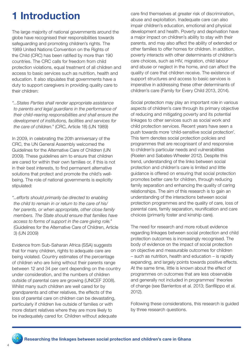# 1 Introduction

The large majority of national governments around the globe have recognised their responsibilities towards safeguarding and promoting children's rights. The 1989 United Nations Convention on the Rights of the Child (CRC) has been ratified by more than 190 countries. The CRC calls for freedom from child protection violations, equal treatment of all children and access to basic services such as nutrition, health and education. It also stipulates that governments have a duty to support caregivers in providing quality care to their children:

*"...States Parties shall render appropriate assistance to parents and legal guardians in the performance of their child-rearing responsibilities and shall ensure the development of institutions, facilities and services for the care of children."* (CRC, Article 18) (UN 1989)

In 2009, in celebrating the 20th anniversary of the CRC, the UN General Assembly welcomed the Guidelines for the Alternative Care of Children (UN 2009). These guidelines aim to ensure that children are cared for within their own families or, if this is not in their best interests, to find permanent alternative solutions that protect and promote the child's wellbeing. The role of national governments is explicitly stipulated:

*"...efforts should primarily be directed to enabling the child to remain in or return to the care of his/ her parents, or when appropriate, other close family members. The State should ensure that families have access to forms of support in the care giving role."*  (Guidelines for the Alternative Care of Children, Article 3) (UN 2009)

Evidence from Sub-Saharan Africa (SSA) suggests that for many children, rights to adequate care are being violated. Country estimates of the percentage of children who are living without their parents range between 12 and 34 per cent depending on the country under consideration, and the numbers of children outside of parental care are growing (UNICEF 2008). Whilst many such children are well cared for by grandparents and other relatives, the effects of the loss of parental care on children can be devastating, particularly if children live outside of families or with more distant relatives where they are more likely to be inadequately cared for. Children without adequate

care find themselves at greater risk of discrimination, abuse and exploitation. Inadequate care can also impair children's education, emotional and physical development and health. Poverty and deprivation have a major impact on children's ability to stay with their parents, and may also affect the ability of extended or other families to offer homes for children. In addition, poverty interacts with other determinants of children's care choices, such as HIV, migration, child labour and abuse or neglect in the home, and can affect the quality of care that children receive. The existence of support structures and access to basic services is imperative in addressing these other determinants of children's care (Family for Every Child 2013, 2014).

Social protection may play an important role in various aspects of children's care through its primary objective of reducing and mitigating poverty and its potential linkages to other services such as social work and child protection services. Recent years have seen a push towards more 'child-sensitive social protection'. This term denotes social protection policies and programmes that are recognisant of and responsive to children's particular needs and vulnerabilities (Roelen and Sabates-Wheeler 2012). Despite this trend, understanding of the links between social protection and children's care is limited and little guidance is offered on ensuring that social protection promotes better care for children, through reducing family separation and enhancing the quality of caring relationships. The aim of this research is to gain an understanding of the interactions between social protection programmes and the quality of care, loss of parental care, family separation, reunification and care choices (primarily foster and kinship care).

The need for research and more robust evidence regarding linkages between social protection and child protection outcomes is increasingly recognised. The body of evidence on the impact of social protection on objective and measurable outcomes for children – such as nutrition, health and education – is rapidly expanding, and largely points towards positive effects. At the same time, little is known about the effect of programmes on outcomes that are less observable and generally not included in programmes' theories of change (see Barrientos et al. 2013; Sanfilippo et al. 2012).

Following these considerations, this research is guided by three research questions.

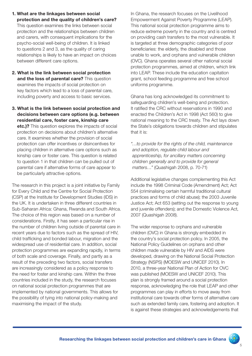- 1. What are the linkages between social protection and the quality of children's care? This question examines the links between social protection and the relationships between children and carers, with consequent implications for the psycho-social well-being of children. It is linked to questions 2 and 3, as the quality of caring relationships is likely to have an impact on choices between different care options.
- 2. What is the link between social protection and the loss of parental care? This question examines the impacts of social protection on key factors which lead to a loss of parental care, including poverty and access to basic services.
- 3. What is the link between social protection and decisions between care options (e.g. between residential care, foster care, kinship care etc.)? This question explores the impacts of social protection on decisions about children's alternative care. It examines whether the provision of social protection can offer incentives or disincentives for placing children in alternative care options such as kinship care or foster care. This question is related to question 1 in that children can be pulled out of parental care if alternative forms of care appear to be particularly attractive options.

The research in this project is a joint initiative by Family for Every Child and the Centre for Social Protection (CSP) at the Institute for Development Studies (IDS) in the UK. It is undertaken in three different countries in Sub-Saharan Africa: Ghana, Rwanda and South Africa. The choice of this region was based on a number of considerations. Firstly, it has seen a particular rise in the number of children living outside of parental care in recent years due to factors such as the spread of HIV, child trafficking and bonded labour, migration and the widespread use of residential care. In addition, social protection programmes are expanding rapidly, in terms of both scale and coverage. Finally, and partly as a result of the preceding two factors, social transfers are increasingly considered as a policy response to the need for foster and kinship care. Within the three countries included in the study, the research focuses on national social protection programmes that are implemented by national governments. This allows for the possibility of tying into national policy-making and maximising the impact of the study.

In Ghana, the research focuses on the Livelihood Empowerment Against Poverty Programme (LEAP). This national social protection programme aims to reduce extreme poverty in the country and is centred on providing cash transfers to the most vulnerable. It is targeted at three demographic categories of poor beneficiaries: the elderly, the disabled and those unable to work, and orphans and vulnerable children (OVC). Ghana operates several other national social protection programmes, aimed at children, which link into LEAP. These include the education capitation grant, school feeding programme and free school uniforms programme.

Ghana has long acknowledged its commitment to safeguarding children's well-being and protection. It ratified the CRC without reservations in 1990 and enacted the Children's Act in 1998 (Act 560) to give national meaning to the CRC treaty. The Act lays down the State's obligations towards children and stipulates that it is:

*"…to provide for the rights of the child, maintenance and adoption, regulate child labour and apprenticeship, for ancillary matters concerning children generally and to provide for general matters…"* (Quashigah 2008, p. 70-71)

Additional legislative changes complementing this Act include the 1998 Criminal Code (Amendment) Act; Act 554 (criminalising certain harmful traditional cultural practices and forms of child abuse); the 2003 Juvenile Justice Act; Act 653 (setting out the response to young and juvenile offenders); and the Domestic Violence Act, 2007 (Quashigah 2008).

The wider response to orphans and vulnerable children (OVC) in Ghana is strongly embedded in the country's social protection policy. In 2005, the National Policy Guidelines on orphans and other children made vulnerable by HIV and AIDS were developed, drawing on the National Social Protection Strategy (NSPS) (MOESW and UNICEF 2010). In 2010, a three-year National Plan of Action for OVC was published (MOESW and UNICEF 2010). This plan is strongly framed around a social protection response, acknowledging the role that LEAP and other programmes can play in efforts to move away from institutional care towards other forms of alternative care such as extended family care, fostering and adoption. It is against these strategies and acknowledgements that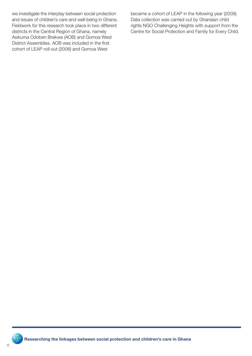we investigate the interplay between social protection and issues of children's care and well-being in Ghana. Fieldwork for this research took place in two different districts in the Central Region of Ghana, namely Asikuma Odoben Brakwa (AOB) and Gomoa West District Assemblies. AOB was included in the first cohort of LEAP roll-out (2008) and Gomoa West

became a cohort of LEAP in the following year (2009). Data collection was carried out by Ghanaian child rights NGO Challenging Heights with support from the Centre for Social Protection and Family for Every Child.

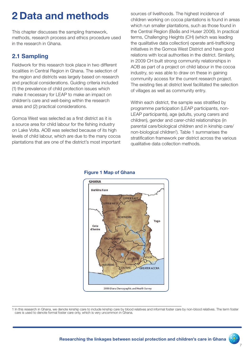# 2 Data and methods

This chapter discusses the sampling framework, methods, research process and ethics procedure used in the research in Ghana.

### 2.1 Sampling

Fieldwork for this research took place in two different localities in Central Region in Ghana. The selection of the region and districts was largely based on research and practical considerations. Guiding criteria included (1) the prevalence of child protection issues which make it necessary for LEAP to make an impact on children's care and well-being within the research areas and (2) practical considerations.

Gomoa West was selected as a first district as it is a source area for child labour for the fishing industry on Lake Volta. AOB was selected because of its high levels of child labour, which are due to the many cocoa plantations that are one of the district's most important

sources of livelihoods. The highest incidence of children working on cocoa plantations is found in areas which run smaller plantations, such as those found in the Central Region (Bøås and Huser 2006). In practical terms, Challenging Heights (CH) (which was leading the qualitative data collection) operate anti-trafficking initiatives in the Gomoa West District and have good relations with local authorities in the district. Similarly, in 2009 CH built strong community relationships in AOB as part of a project on child labour in the cocoa industry, so was able to draw on these in gaining community access for the current research project. The existing ties at district level facilitated the selection of villages as well as community entry.

Within each district, the sample was stratified by programme participation (LEAP participants, non-LEAP participants), age (adults, young carers and children), gender and carer-child relationships (in parental care/biological children and in kinship care/ non-biological children<sup>1</sup>). Table 1 summarises the stratification framework per district across the various qualitative data collection methods.



#### Figure 1 Map of Ghana

1 In this research in Ghana, we denote kinship care to include kinship care by blood relatives and informal foster care by non-blood relatives. The term foster care is used to denote formal foster care only, which is very uncommon in Ghana.

7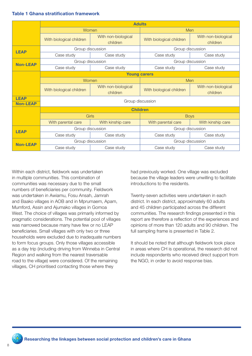#### Table 1 Ghana stratification framework

|                                | <b>Adults</b>            |                                 |                          |                                 |
|--------------------------------|--------------------------|---------------------------------|--------------------------|---------------------------------|
|                                | Women                    |                                 | Men                      |                                 |
|                                | With biological children | With non-biological<br>children | With biological children | With non-biological<br>children |
| <b>LEAP</b>                    | Group discussion         |                                 | Group discussion         |                                 |
|                                | Case study               | Case study                      | Case study               | Case study                      |
| <b>Non-LEAP</b>                | Group discussion         |                                 | Group discussion         |                                 |
|                                | Case study               | Case study                      | Case study               | Case study                      |
|                                | <b>Young carers</b>      |                                 |                          |                                 |
|                                | Women                    |                                 | Men                      |                                 |
|                                | With biological children | With non-biological<br>children | With biological children | With non-biological<br>children |
| <b>LEAP</b><br><b>Non-LEAP</b> | Group discussion         |                                 |                          |                                 |
|                                | <b>Children</b>          |                                 |                          |                                 |
|                                | <b>Girls</b>             |                                 | <b>Boys</b>              |                                 |
|                                | With parental care       | With kinship care               | With parental care       | With kinship care               |
| <b>LEAP</b>                    | Group discussion         |                                 | Group discussion         |                                 |
|                                | Case study               | Case study                      | Case study               | Case study                      |
| <b>Non-LEAP</b>                | Group discussion         |                                 | Group discussion         |                                 |
|                                | Case study               | Case study                      | Case study               | Case study                      |

Within each district, fieldwork was undertaken in multiple communities. This combination of communities was necessary due to the small numbers of beneficiaries per community. Fieldwork was undertaken in Awiamu, Fosu Ansah, Jamrah and Baako villages in AOB and in Mprumaem, Apam, Mumford, Assin and Ajumako villages in Gomoa West. The choice of villages was primarily informed by pragmatic considerations. The potential pool of villages was narrowed because many have few or no LEAP beneficiaries. Small villages with only two or three households were excluded due to inadequate numbers to form focus groups. Only those villages accessible as a day trip (including driving from Winneba in Central Region and walking from the nearest traversable road to the village) were considered. Of the remaining villages, CH prioritised contacting those where they

had previously worked. One village was excluded because the village leaders were unwilling to facilitate introductions to the residents.

Twenty-seven activities were undertaken in each district. In each district, approximately 60 adults and 45 children participated across the different communities. The research findings presented in this report are therefore a reflection of the experiences and opinions of more than 120 adults and 90 children. The full sampling frame is presented in Table 2.

It should be noted that although fieldwork took place in areas where CH is operational, the research did not include respondents who received direct support from the NGO, in order to avoid response bias.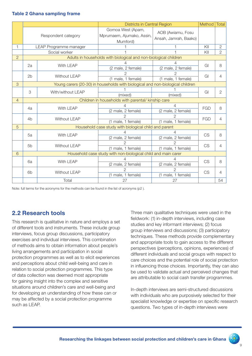#### Table 2 Ghana sampling frame

|                |                                                                                |                     | <b>Districts in Central Region</b>                               |                                            | Method     | <b>Total</b>   |
|----------------|--------------------------------------------------------------------------------|---------------------|------------------------------------------------------------------|--------------------------------------------|------------|----------------|
|                |                                                                                | Respondent category | Gomoa West (Apam,<br>Mprumaem, Ajumako, Assin,<br>Mumford)       | AOB (Awiamu, Fosu<br>Ansah, Jamrah, Baako) |            |                |
| 1              | LEAP Programme manager                                                         |                     |                                                                  |                                            | KII        | $\mathbf{2}$   |
|                | Social worker                                                                  |                     |                                                                  |                                            | KII        | $\overline{2}$ |
| $\overline{2}$ |                                                                                |                     | Adults in households with biological and non-biological children |                                            |            |                |
|                | 2a<br>With LEAP                                                                | 4                   |                                                                  | GI                                         | 8          |                |
|                |                                                                                |                     | (2 male, 2 female)                                               | (2 male, 2 female)                         |            |                |
|                | 2 <sub>b</sub>                                                                 | <b>Without LEAP</b> | $\mathcal{P}$                                                    | $\mathfrak{D}$                             | GI         | 4              |
|                |                                                                                |                     | (1 male, 1 female)                                               | (1 male, 1 female)                         |            |                |
| 3              | Young carers (20-30) in households with biological and non-biological children |                     |                                                                  |                                            |            |                |
|                | 3                                                                              | With/without LEAP   |                                                                  |                                            | GI         | $\overline{2}$ |
|                |                                                                                |                     | (mixed)                                                          | (mixed)                                    |            |                |
| $\overline{4}$ | Children in households with parental/ kinship care                             |                     |                                                                  |                                            |            |                |
|                | 4a                                                                             | With LEAP           |                                                                  | 4                                          | <b>FGD</b> | 8              |
|                |                                                                                |                     | (2 male, 2 female)                                               | (2 male, 2 female)                         |            |                |
|                | 4 <sub>b</sub>                                                                 | Without LEAP        | 2                                                                |                                            | <b>FGD</b> | 4              |
|                |                                                                                |                     | (1 male, 1 female)                                               | (1 male, 1 female)                         |            |                |
| 5              | Household case study with biological child and parent                          |                     |                                                                  |                                            |            |                |
|                | 5a                                                                             | With LEAP           | 4                                                                | 4                                          | <b>CS</b>  | 8              |
|                |                                                                                |                     | (2 male, 2 female)                                               | (2 male, 2 female)                         |            |                |
|                | 5 <sub>b</sub>                                                                 | <b>Without LEAP</b> | $\mathcal{P}$                                                    | 2                                          | <b>CS</b>  | 4              |
|                |                                                                                |                     | (1 male, 1 female)                                               | (1 male, 1 female)                         |            |                |
| 6              | Household case study with non-biological child and main carer                  |                     |                                                                  |                                            |            |                |
|                |                                                                                | With LEAP<br>6a     | 4                                                                | 4                                          | <b>CS</b>  | 8              |
|                |                                                                                |                     | (2 male, 2 female)                                               | (2 male, 2 female)                         |            |                |
|                | 6 <sub>b</sub>                                                                 | <b>Without LEAP</b> | $\mathcal{P}$                                                    | $\mathcal{P}$                              | <b>CS</b>  | 4              |
|                |                                                                                |                     | (1 male, 1 female)                                               | (1 male, 1 female)                         |            |                |
|                |                                                                                | Total               | 27                                                               | 27                                         |            | 54             |

Note: full terms for the acronyms for the methods can be found in the list of acronyms (p2 ).

### 2.2 Research tools

This research is qualitative in nature and employs a set of different tools and instruments. These include group interviews, focus group discussions, participatory exercises and individual interviews. This combination of methods aims to obtain information about people's living arrangements and participation in social protection programmes as well as to elicit experiences and perceptions about child well-being and care in relation to social protection programmes. This type of data collection was deemed most appropriate for gaining insight into the complex and sensitive situations around children's care and well-being and for developing an understanding of how these can or may be affected by a social protection programme such as LEAP.

Three main qualitative techniques were used in the fieldwork: (1) in-depth interviews, including case studies and key informant interviews; (2) focus group interviews and discussions; (3) participatory techniques. These methods provide complementary and appropriate tools to gain access to the different perspectives (perceptions, opinions, experiences) of different individuals and social groups with respect to care choices and the potential role of social protection in influencing those choices. Importantly, they can also be used to validate actual and perceived changes that are attributable to social cash transfer programmes.

In-depth interviews are semi-structured discussions with individuals who are purposively selected for their specialist knowledge or expertise on specific research questions. Two types of in-depth interviews were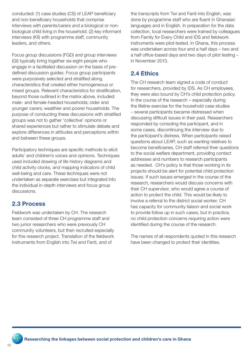conducted: (1) case studies (CS) of LEAP beneficiary and non-beneficiary households that comprise interviews with parents/carers and a biological or nonbiological child living in the household; (2) key informant interviews (KII) with programme staff, community leaders, and others.

Focus group discussions (FGD) and group interviews (GI) typically bring together six-eight people who engage in a facilitated discussion on the basis of predefined discussion guides. Focus group participants were purposively selected and stratified along characteristics that created either homogeneous or mixed groups. Relevant characteristics for stratification, beyond those outlined in the matrix above, included: male- and female-headed households; older and younger carers; wealthier and poorer households. The purpose of conducting these discussions with stratified groups was not to gather 'collective' opinions or shared experiences but rather to stimulate debate and explore differences in attitudes and perceptions within and between these groups.

Participatory techniques are specific methods to elicit adults' and children's voices and opinions. Techniques used included drawing of life history diagrams and child activity clocks, and mapping indicators of child well-being and care. These techniques were not undertaken as separate exercises but integrated into the individual in-depth interviews and focus group discussions.

#### 2.3 Process

Fieldwork was undertaken by CH. The research team consisted of three CH programme staff and two junior researchers who were previously CH community volunteers, but then recruited especially for this research project. Translation of the fieldwork instruments from English into Twi and Fanti, and of

the transcripts from Twi and Fanti into English, was done by programme staff who are fluent in Ghanaian languages and in English. In preparation for the data collection, local researchers were trained by colleagues from Family for Every Child and IDS and fieldwork instruments were pilot-tested. In Ghana, this process was undertaken across four and a half days – two and a half office-based days and two days of pilot testing – in November 2013.

### 2.4 Ethics

The CH research team signed a code of conduct for researchers, provided by IDS. As CH employees, they were also bound by CH's child protection policy. In the course of the research – especially during the lifeline exercise for the household case studies – several participants became distressed when discussing difficult issues in their past. Researchers responded by consoling the participant, and in some cases, discontinuing the interview due to the participant's distress. When participants raised questions about LEAP, such as wanting relatives to become beneficiaries, CH staff referred their questions to the social welfare department, providing contact addresses and numbers to research participants as needed. CH's policy is that those working in its projects should be alert for potential child protection issues. If such issues emerged in the course of the research, researchers would discuss concerns with their CH supervisor, who would agree a course of action to protect the child. This would be likely to involve a referral to the district social worker. CH has capacity for community liaison and social work to provide follow up in such cases, but in practice, no child protection concerns requiring action were identified during the course of the research.

The names of all respondents quoted in this research have been changed to protect their identities.

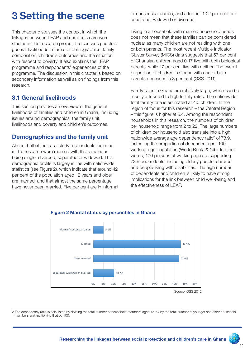# 3 Setting the scene

This chapter discusses the context in which the linkages between LEAP and children's care were studied in this research project. It discusses people's general livelihoods in terms of demographics, family composition, children's outcomes and the situation with respect to poverty. It also explains the LEAP programme and respondents' experiences of the programme. The discussion in this chapter is based on secondary information as well as on findings from this research.

### 3.1 General livelihoods

This section provides an overview of the general livelihoods of families and children in Ghana, including issues around demographics, the family unit, livelihoods and poverty and children's outcomes.

### Demographics and the family unit

Almost half of the case study respondents included in this research were married with the remainder being single, divorced, separated or widowed. This demographic profile is largely in line with nationwide statistics (see Figure 2), which indicate that around 42 per cent of the population aged 12 years and older are married, and that almost the same percentage have never been married. Five per cent are in informal or consensual unions, and a further 10.2 per cent are separated, widowed or divorced.

Living in a household with married household heads does not mean that these families can be considered nuclear as many children are not residing with one or both parents. The most recent Multiple Indicator Cluster Survey (MICS) data suggests that 57 per cent of Ghanaian children aged 0-17 live with both biological parents, while 17 per cent live with neither. The overall proportion of children in Ghana with one or both parents deceased is 8 per cent (GSS 2011).

Family sizes in Ghana are relatively large, which can be mostly attributed to high fertility rates. The nationwide total fertility rate is estimated at 4.0 children. In the region of focus for this research – the Central Region – this figure is higher at 5.4. Among the respondent households in this research, the numbers of children per household range from 2 to 22. The large numbers of children per household also translate into a high nationwide average age dependency ratio<sup>2</sup> of 73.9, indicating the proportion of dependents per 100 working-age population (World Bank 2014b). In other words, 100 persons of working age are supporting 73.9 dependents, including elderly people, children and people living with disabilities. The high number of dependents and children is likely to have strong implications for the link between child well-being and the effectiveness of LEAP.



#### Figure 2 Marital status by percentiles in Ghana

2 The dependency ratio is calculated by dividing the total number of household members aged 15-64 by the total number of younger and older household members and multiplying that by 100.

 $\frac{1}{\sqrt{2}}$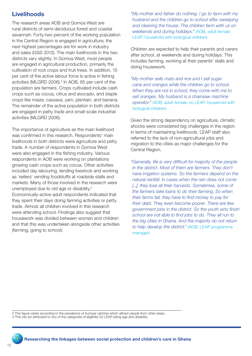### **Livelihoods**

The research areas AOB and Gomoa West are rural districts of semi-deciduous forest and coastal savannah. Forty-two percent of the working population in the Central Region is engaged in agriculture; the next highest percentages are for work in industry and sales (GSS 2012). The main livelihoods in the two districts vary slightly. In Gomoa West, most people are engaged in agricultural production, primarily the cultivation of root crops and fruit trees. In addition, 15 per cent of the active labour force is active in fishing activities (MLGRD 2006).<sup>3</sup> In AOB, 85 per cent of the population are farmers. Crops cultivated include cash crops such as cocoa, citrus and avocado, and staple crops like maize, cassava, yam, plantain, and banana. The remainder of the active population in both districts are engaged in petty trade and small-scale industrial activities (MLGRD 2006).

The importance of agriculture as the main livelihood was confirmed in this research. Respondents' main livelihoods in both districts were agriculture and petty trade. A number of respondents in Gomoa West were also engaged in the fishing industry. Various respondents in AOB were working on plantations growing cash crops such as cocoa. Other activities included day labouring, tending livestock and working as 'sellers' vending foodstuffs at roadside stalls and markets. Many of those involved in the research were unemployed due to old age or disability.4 Economically-active adult respondents indicated that they spent their days doing farming activities or petty trade. Almost all children involved in this research were attending school. Findings also suggest that housework was divided between women and children and that this was undertaken alongside other activities (farming, going to school).

*"My mother and father do nothing. I go to farm with my husband and the children go to school after sweeping and cleaning the house. The children farm with us on weekends and during holidays."* (AOB, adult female, LEAP, household with biological children)

Children are expected to help their parents and carers after school, at weekends and during holidays. This includes farming, working at their parents' stalls and doing housework.

*"My mother sells mats and rice and I sell sugar cane and oranges while the children go to school. When they are not in school, they come with me to sell oranges. My husband is a chainsaw machine operator."* (AOB, adult female, no LEAP, household with biological children)

Given the strong dependency on agriculture, climatic shocks were considered big challenges in the region in terms of maintaining livelihoods. LEAP staff also referred to the lack of non-agricultural jobs and migration to the cities as major challenges for the Central Region.

*"Generally, life is very difficult for majority of the people in the district. Most of them are farmers. They don't have irrigation systems. So the farmers depend on the natural rainfall. In cases when the rain does not come [...], they lose all their harvests. Sometimes, some of the farmers take loans to do their farming. So when their farms fail, they have to find money to pay for their debt. They even become poorer. There are few government jobs in the district. So the youth who finish school are not able to find jobs to do. They all run to the big cities in Ghana. And the majority do not return to help develop the district."* (AOB, LEAP programme manager)

3 This figure varies according to the prevalence of bumper catches which attract people from other areas.

4 This can be attributed to two of the categories of eligibility for LEAP being age and disability.

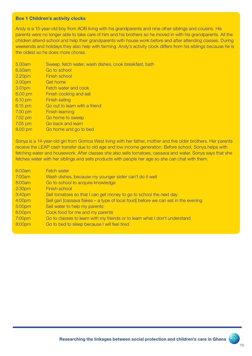#### Box 1 Children's activity clocks

Andy is a 15-year-old boy from AOB living with his grandparents and nine other siblings and cousins. His parents were no longer able to take care of him and his brothers so he moved in with his grandparents. All the children attend school and help their grandparents with house work before and after attending classes. During weekends and holidays they also help with farming. Andy's activity clock differs from his siblings because he is the oldest so he does more chores.

- 5.00am Sweep, fetch water, wash dishes, cook breakfast, bath
- 6.50am Go to school
- 2.20pm Finish school
- 3.00pm Get home
- 3.01pm Fetch water and cook
- 6.00 pm Finish cooking and eat
- 6.10 pm Finish eating
- 6.15 pm Go out to learn with a friend
- 7.00 pm Finish learning
- 7.02 pm Go home to sweep
- 7.05 pm Go back and learn
- 8.00 pm Go home and go to bed

Sonya is a 14-year-old girl from Gomoa West living with her father, mother and five older brothers. Her parents receive the LEAP cash transfer due to old age and low income generation. Before school, Sonya helps with fetching water and housework. After classes she also sells tomatoes, cassava and water. Sonya says that she fetches water with her siblings and sells products with people her age so she can chat with them.

| 6:00am             | <b>Fetch water</b>                                                                 |
|--------------------|------------------------------------------------------------------------------------|
| 7:00am             | Wash dishes, because my younger sister can't do it well                            |
| 8:00am             | Go to school to acquire knowledge                                                  |
| 2:30 <sub>pm</sub> | Finish school                                                                      |
| 3:40pm             | Sell tomatoes so that I can get money to go to school the next day                 |
| 4:00pm             | Sell gari [cassava flakes – a type of local food] before we can eat in the evening |
| 5:00pm             | Sell water to help my parents                                                      |
| 6:00pm             | Cook food for me and my parents                                                    |
| 7:00pm             | Go to classes to learn with my friends or to learn what I don't understand         |
| 8:00pm             | Go to bed to sleep because I will feel tired                                       |
|                    |                                                                                    |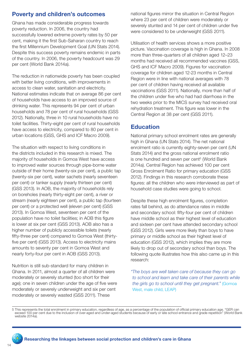# Poverty and children's outcomes

Ghana has made considerable progress towards poverty reduction. In 2006, the country had successfully lowered extreme poverty rates by 50 per cent, making it the first Sub-Saharan country to reach the first Millennium Development Goal (UN Stats 2014). Despite this success poverty remains endemic in parts of the country. In 2006, the poverty headcount was 29 per cent (World Bank 2014a).

The reduction in nationwide poverty has been coupled with better living conditions, with improvements in access to clean water, sanitation and electricity. National estimates indicate that on average 86 per cent of households have access to an improved source of drinking water. This represents 94 per cent of urban households and 78 per cent of rural households (GSS 2012). Nationally, three in 10 rural households have no toilet facilities. Thirty-eight per cent of rural households have access to electricity, compared to 80 per cent in urban locations (GSS, GHS and ICF Macro 2009).

The situation with respect to living conditions in the districts included in this research is mixed. The majority of households in Gomoa West have access to improved water sources through pipe-borne water outside of their home (twenty-six per cent), a public tap (twenty-six per cent), water sachets (nearly seventeen per cent) or tanker supply (nearly thirteen per cent) (GSS 2013). In AOB, the majority of households rely on boreholes (nearly thirty-eight per cent), a river or stream (nearly eighteen per cent), a public tap (fourteen per cent) or a protected well (eleven per cent) (GSS 2013). In Gomoa West, seventeen per cent of the population have no toilet facilities; in AOB this figure is lower at six per cent (GSS 2013). AOB also has a higher number of publicly accessible toilets (nearly fifty-three per cent) compared to Gomoa West (thirtyfive per cent) (GSS 2013). Access to electricity mains amounts to seventy per cent in Gomoa West and nearly forty-four per cent in AOB (GSS 2013).

Nutrition is still sub-standard for many children in Ghana. In 2011, almost a quarter of all children were moderately or severely stunted (too short for their age); one in seven children under the age of five were moderately or severely underweight and six per cent moderately or severely wasted (GSS 2011). These

national figures mirror the situation in Central Region where 23 per cent of children were moderately or severely stunted and 14 per cent of children under five were considered to be underweight (GSS 2011).

Utilisation of health services shows a more positive picture. Vaccination coverage is high in Ghana. In 2008 more than three-quarters of all children aged 12–23 months had received all recommended vaccines (GSS, GHS and ICF Macro 2009). Figures for vaccination coverage for children aged 12-23 months in Central Region were in line with national averages with 78 per cent of children having received all available vaccinations (GSS 2011). Nationally, more than half of the children under five who had had diarrhoea in the two weeks prior to the MICS survey had received oral rehydration treatment. This figure was lower in the Central Region at 38 per cent (GSS 2011).

#### **Education**

National primary school enrolment rates are generally high in Ghana (UN Stats 2014). The net national enrolment ratio is currently eighty-seven per cent (UN Stats 2014) and the gross national enrolment ratio is one hundred and seven per cent<sup>5</sup> (World Bank 2014a). Central Region has achieved 100 per cent Gross Enrolment Ratio for primary education (GSS 2012). Findings in this research corroborate these figures: all the children who were interviewed as part of household case studies were going to school.

Despite these high enrolment figures, completion rates fall behind, as do attendance rates in middle and secondary school: fifty-four per cent of children have middle school as their highest level of education and sixteen per cent have attended secondary school (GSS 2012). Girls were more likely than boys to have primary or middle school as their highest level of education (GSS 2012), which implies they are more likely to drop out of secondary school than boys. The following quote illustrates how this also came up in this research:

*"The boys are well taken care of because they can go to school and learn and take care of their parents while the girls go to school until they get pregnant."* (Gomoa West, male child, LEAP)

<sup>5</sup> This represents the total enrolment in primary education, regardless of age, as a percentage of the population of official primary education age. "GER can exceed 100 per cent due to the inclusion of over-aged and under-aged students because of early or late school entrance and grade repetition" (World Bank website 2014a).

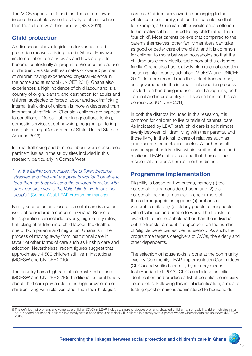The MICS report also found that those from lower income households were less likely to attend school than those from wealthier families (GSS 2011).

### Child protection

As discussed above, legislation for various child protection measures is in place in Ghana. However, implementation remains weak and laws are yet to become contextually appropriate. Violence and abuse of children persists with estimates of over 90 per cent of children having experienced physical violence in the home and at school (UNICEF 2011). Ghana also experiences a high incidence of child labour and is a country of origin, transit, and destination for adults and children subjected to forced labour and sex trafficking. Internal trafficking of children is more widespread than international trafficking. Ghanaian children are exposed to conditions of forced labour in agriculture, fishing, domestic service, street hawking, begging, portering and gold mining (Department of State, United States of America 2013).

Internal trafficking and bonded labour were considered pertinent issues in the study sites included in this research, particularly in Gomoa West.

*"... in the fishing communities, the children become stressed and tired and the parents wouldn't be able to feed them so they will send the children to reside with other people, even to the Volta lake to work for other people."* (Gomoa West, LEAP programme manager)

Family separation and loss of parental care is also an issue of considerable concern in Ghana. Reasons for separation can include poverty, high fertility rates, trafficking of children into child labour, the death of one or both parents and migration. Ghana is in the process of moving away from institutional care in favour of other forms of care such as kinship care and adoption. Nevertheless, recent figures suggest that approximately 4,500 children still live in institutions (MOESW and UNICEF 2010).

The country has a high rate of informal kinship care (MOESW and UNICEF 2010). Traditional cultural beliefs about child care play a role in the high prevalence of children living with relatives other than their biological

parents. Children are viewed as belonging to the whole extended family, not just the parents, so that, for example, a Ghanaian father would cause offence to his relatives if he referred to 'my child' rather than 'our child'. Most parents believe that compared to the parents themselves, other family members can take as good or better care of the child, and it is common for children to move between households so that the children are evenly distributed amongst the extended family. Ghana also has relatively high rates of adoption, including inter-country adoption (MOESW and UNICEF 2010). In more recent times the lack of transparency and governance in the international adoption process has led to a ban being imposed on all adoptions, both national and inter-country, until such a time as this can be resolved (UNICEF 2011).

In both the districts included in this research, it is common for children to live outside of parental care. As indicated by LEAP staff, child care is split almost evenly between children living with their parents, and those living in the kinship care of relatives such as grandparents or aunts and uncles. A further small percentage of children live within families of no blood relations. LEAP staff also stated that there are no residential children's homes in either district.

### Programme implementation

Eligibility is based on two criteria, namely (1) the household being considered poor, and (2) the household having a member in one or more of three demographic categories: (a) orphans or vulnerable children,<sup>6</sup> (b) elderly people, or (c) people with disabilities and unable to work. The transfer is awarded to the household rather than the individual but the transfer amount is dependent on the number of 'eligible beneficiaries' per household. As such, the programme targets caregivers of OVCs, the elderly and other dependents.

The selection of households is done at the community level by Community LEAP Implementation Committees (CLICs) and verified centrally by a proxy means test (Handa et al. 2013). CLICs undertake an initial identification and produce a list of potential beneficiary households. Following this initial identification, a means testing questionnaire is administered to households.

<sup>6</sup> The definition of orphans and vulnerable children (OVC) in LEAP includes: single or double orphans, disabled children, chronically ill children, children in a child-headed household, children in a family with a head that is chronically ill, children in a family with a parent whose whereabouts are unknown (MOESW 2012).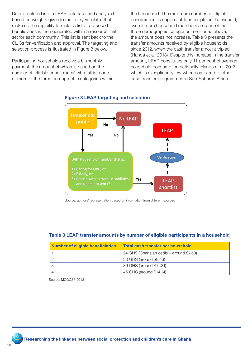Data is entered into a LEAP database and analysed based on weights given to the proxy variables that make up the eligibility formula. A list of proposed beneficiaries is then generated within a resource limit set for each community. This list is sent back to the CLICs for verification and approval. The targeting and selection process is illustrated in Figure 3 below.

Participating households receive a bi-monthly payment, the amount of which is based on the number of 'eligible beneficiaries' who fall into one or more of the three demographic categories within

the household. The maximum number of 'eligible beneficiaries' is capped at four people per household; even if more household members are part of the three demographic categories mentioned above, the amount does not increase. Table 3 presents the transfer amounts received by eligible households since 2012, when the cash transfer amount tripled (Handa et al. 2013). Despite this increase in the transfer amount, LEAP constitutes only 11 per cent of average household consumption nationally (Handa et al. 2013), which is exceptionally low when compared to other cash transfer programmes in Sub-Saharan Africa.



#### Figure 3 LEAP targeting and selection

Source: authors' representation based on information from different sources

#### Table 3 LEAP transfer amounts by number of eligible participants in a household

| <b>Number of eligible beneficiaries</b> | <b>Total cash transfer per household</b> |
|-----------------------------------------|------------------------------------------|
|                                         | 24 GHS (Ghanaian cedis – around \$7.50)  |
|                                         | 30 GHS (around \$9.43)                   |
|                                         | 36 GHS (around \$11.31)                  |
|                                         | 45 GHS (around \$14.14)                  |

Source: MOGCSP 2013

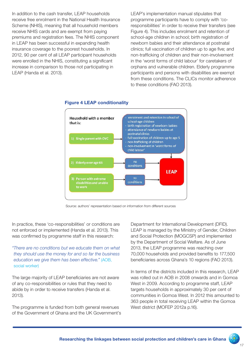In addition to the cash transfer, LEAP households receive free enrolment in the National Health Insurance Scheme (NHIS), meaning that all household members receive NHIS cards and are exempt from paying premiums and registration fees. The NHIS component in LEAP has been successful in expanding health insurance coverage to the poorest households. In 2012, 90 per cent of all LEAP participant households were enrolled in the NHIS, constituting a significant increase in comparison to those not participating in LEAP (Handa et al. 2013).

LEAP's implementation manual stipulates that programme participants have to comply with 'coresponsibilities' in order to receive their transfers (see Figure 4). This includes enrolment and retention of school-age children in school; birth registration of newborn babies and their attendance at postnatal clinics; full vaccination of children up to age five; and non-trafficking of children and their non-involvement in the 'worst forms of child labour' for caretakers of orphans and vulnerable children. Elderly programme participants and persons with disabilities are exempt from these conditions. The CLICs monitor adherence to these conditions (FAO 2013).



#### Figure 4 LEAP conditionality

Source: authors' representation based on information from different sources

In practice, these 'co-responsibilities' or conditions are not enforced or implemented (Handa et al. 2013). This was confirmed by programme staff in this research:

*"There are no conditions but we educate them on what they should use the money for and so far the business education we give them has been effective."* (AOB, social worker)

The large majority of LEAP beneficiaries are not aware of any co-responsibilities or rules that they need to abide by in order to receive transfers (Handa et al. 2013).

The programme is funded from both general revenues of the Government of Ghana and the UK Government's

Department for International Development (DFID). LEAP is managed by the Ministry of Gender, Children and Social Protection (MOGCSP) and implemented by the Department of Social Welfare. As of June 2013, the LEAP programme was reaching over 70,000 households and provided benefits to 177,500 beneficiaries across Ghana's 10 regions (FAO 2013).

In terms of the districts included in this research, LEAP was rolled out in AOB in 2008 onwards and in Gomoa West in 2009. According to programme staff, LEAP targets households in approximately 30 per cent of communities in Gomoa West. In 2012 this amounted to 363 people in total receiving LEAP within the Gomoa West district (MOFEP 2012a p.16).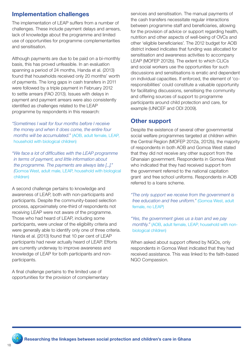# Implementation challenges

The implementation of LEAP suffers from a number of challenges. These include payment delays and arrears, lack of knowledge about the programme and limited use of opportunities for programme complementarities and sensitisation.

Although payments are due to be paid on a bi-monthly basis, this has proved unfeasible. In an evaluation spanning a period of 24 months, Handa et al. (2013) found that households received only 20 months' worth of payments. The long gaps in cash transfers in 2011 were followed by a triple payment in February 2012 to settle arrears (FAO 2013). Issues with delays in payment and payment arrears were also consistently identified as challenges related to the LEAP programme by respondents in this research:

*"Sometimes I wait for four months before I receive the money and when it does come, the entire four months will be accumulated."* (AOB, adult female, LEAP, household with biological children)

*"We face a lot of difficulties with the LEAP programme in terms of payment, and little information about the programme. The payments are always late [...]." (*Gomoa West, adult male, LEAP, household with biological children)

A second challenge pertains to knowledge and awareness of LEAP, both with non-participants and participants. Despite the community-based selection process, approximately one-third of respondents not receiving LEAP were not aware of the programme. Those who had heard of LEAP, including some participants, were unclear of the eligibility criteria and were generally able to identify only one of three criteria. Handa et al. (2013) found that 10 per cent of LEAP participants had never actually heard of LEAP. Efforts are currently underway to improve awareness and knowledge of LEAP for both participants and nonparticipants.

A final challenge pertains to the limited use of opportunities for the provision of complementary

services and sensitisation. The manual payments of the cash transfers necessitate regular interactions between programme staff and beneficiaries, allowing for the provision of advice or support regarding health, nutrition and other aspects of well-being of OVCs and other 'eligible beneficiaries'. The 2012 budget for AOB district indeed indicates that funding was allocated for sensitisation and awareness activities to accompany LEAP (MOFEP 2012b). The extent to which CLICs and social workers use the opportunities for such discussions and sensitisations is erratic and dependent on individual capacities. If enforced, the element of 'coresponsibilities' could constitute a valuable opportunity for facilitating discussions, sensitising the community and offering sources of support to programme participants around child protection and care, for example (UNICEF and ODI 2009).

#### Other support

Despite the existence of several other governmental social welfare programmes targeted at children within the Central Region (MOFEP 2012a, 2012b), the majority of respondents in both AOB and Gomoa West stated that they did not receive any other support from the Ghanaian government. Respondents in Gomoa West who indicated that they had received support from the government referred to the national capitation grant and free school uniforms. Respondents in AOB referred to a loans scheme.

*"The only support we receive from the government is free education and free uniform."* (Gomoa West, adult female, no LEAP)

*"Yes, the government gives us a loan and we pay monthly."* (AOB, adult female, LEAP, household with nonbiological children)

When asked about support offered by NGOs, only respondents in Gomoa West indicated that they had received assistance. This was linked to the faith-based NGO Compassion.

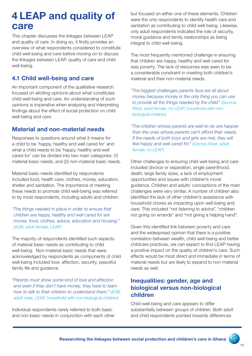# 4 LEAP and quality of care

This chapter discusses the linkages between LEAP and quality of care. In doing so, it firstly provides an overview of what respondents considered to constitute child well-being and care before moving on to discuss the linkages between LEAP, quality of care and child well-being.

### 4.1 Child well-being and care

An important component of the qualitative research focused on eliciting opinions about what constitutes child well-being and care. An understanding of such opinions is imperative when analysing and interpreting findings about the effect of social protection on child well-being and care.

### Material and non-material needs

Responses to questions around what it means for a child to be 'happy, healthy and well cared for' and what a child needs to be 'happy, healthy and well cared for' can be divided into two main categories: (1) material basic needs, and (2) non-material basic needs.

Material basic needs identified by respondents included food, health care, clothes, money, education, shelter and sanitation. The importance of meeting these needs to promote child well-being was referred to by most respondents, including adults and children.

*"The things needed in place in order to ensure that children are happy, healthy and well cared for are money, food, clothes, advice, education and housing."*  (AOB, adult female, LEAP)

The majority of respondents identified such aspects of material basic needs as contributing to child well-being. Non-material basic needs that were acknowledged by respondents as components of child well-being included love, affection, security, peaceful family life and guidance.

*"Parents must show some kind of love and affection and even if they don't have money, they have to learn how to talk to their children to understand them."* (AOB, adult male, LEAP, household with non-biological children)

Individual respondents rarely referred to both basic and non-basic needs in conjunction with each other

but focused on either one of these elements. Children were the only respondents to identify health care and sanitation as contributing to child well-being. Likewise, only adult respondents indicated the role of security, moral guidance and family relationships as being integral to child well-being.

The most frequently mentioned challenge in ensuring that children are happy, healthy and well cared for was poverty. The lack of resources was seen to be a considerable constraint in meeting both children's material and their non-material needs.

*"The biggest challenges parents face are all about money because money is the only thing you can use to provide all the things needed by the child."* (Gomoa West, adult female, no LEAP, household with nonbiological children)

*"The children whose parents are well-to-do are happier than the ones whose parents can't afford their needs. If the needs of both boys and girls are met, they will feel happy and well cared for."* (Gomoa West, adult female, no LEAP)

Other challenges to ensuring child well-being and care included divorce or separation, single parenthood, death, large family sizes, a lack of employment opportunities and issues with children's moral guidance. Children and adults' conceptions of the main challenges were very similar. A number of children also identified the lack of other children's assistance with household chores as impacting upon well-being and care. This included "not listening to advice", "children not going on errands" and "not giving a helping hand".

Given this identified link between poverty and care and the widespread opinion that there is a positive correlation between wealth, child well-being and better childcare practices, we can expect to find LEAP having a positive impact on the quality of children's care. Such effects would be most direct and immediate in terms of material needs but are likely to expand to non-material needs as well.

### Inequalities: gender, age and biological versus non-biological children

Child well-being and care appears to differ substantially between groups of children. Both adult and child respondents pointed towards differences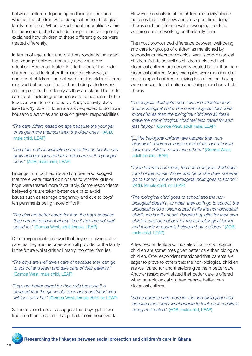between children depending on their age, sex and whether the children were biological or non-biological family members. When asked about inequalities within the household, child and adult respondents frequently explained how children of these different groups were treated differently.

In terms of age, adult and child respondents indicated that younger children generally received more attention. Adults attributed this to the belief that older children could look after themselves. However, a number of children also believed that the older children received better care due to them being able to work and help support the family as they are older. This better care could include greater access to education or better food. As was demonstrated by Andy's activity clock (see Box 1), older children are also expected to do more household activities and take on greater responsibilities.

*"The care differs based on age because the younger ones get more attention than the older ones."* (AOB, male child, LEAP)

*"The older child is well taken care of first so he/she can grow and get a job and then take care of the younger ones."* (AOB, male child, LEAP)

Findings from both adults and children also suggest that there were mixed opinions as to whether girls or boys were treated more favourably. Some respondents believed girls are taken better care of to avoid issues such as teenage pregnancy and due to boys' temperaments being 'more difficult'.

*"The girls are better cared for than the boys because they can get pregnant at any time if they are not well cared for."* (Gomoa West, adult female, LEAP)

Other respondents believed that boys are given better care, as they are the ones who will provide for the family in the future whilst girls will marry into other families.

*"The boys are well taken care of because they can go to school and learn and take care of their parents."*  (Gomoa West, male child, LEAP)

*"Boys are better cared for than girls because it is believed that the girl would soon get a boyfriend who will look after her."* (Gomoa West, female child, no LEAP)

Some respondents also suggest that boys get more free time than girls, and that girls do more housework.

However, an analysis of the children's activity clocks indicates that both boys and girls spent time doing chores such as fetching water, sweeping, cooking, washing up, and working on the family farm.

The most pronounced difference between well-being and care for groups of children as mentioned by respondents refers to biological versus non-biological children. Adults as well as children indicated that biological children are generally treated better than nonbiological children. Many examples were mentioned of non-biological children receiving less affection, having worse access to education and doing more household chores.

*"A biological child gets more love and affection than a non-biological child. The non-biological child does more chores than the biological child and all these make the non-biological child feel less cared for and less happy."* (Gomoa West, adult male, LEAP)

*"[...] the biological children are happier than nonbiological children because most of the parents love their own children more than others."* (Gomoa West, adult female, LEAP]

*"If you live with someone, the non-biological child does most of the house chores and he or she does not even go to school, while the biological child goes to school."*  (AOB, female child, no LEAP)

*"The biological child goes to school and the nonbiological doesn't , or when they both go to school, the biological child's tuition is paid while the non-biological child's fee is left unpaid. Parents buy gifts for their own children and do not buy for the non-biological [child] and it leads to quarrels between both children."* (AOB, male child, LEAP)

A few respondents also indicated that non-biological children are sometimes given better care than biological children. One respondent mentioned that parents are eager to prove to others that the non-biological children are well cared for and therefore give them better care. Another respondent stated that better care is offered when non-biological children behave better than biological children.

*"Some parents care more for the non-biological child because they don't want people to think such a child is being maltreated."* (AOB, male child, LEAP)

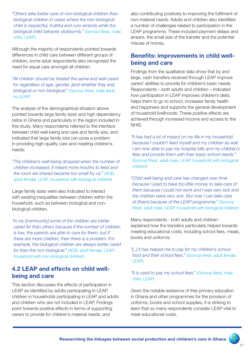*"Others take better care of non-biological children than biological children in cases where the non-biological child is respectful, truthful and runs errands while the biological child behaves stubbornly."* (Gomoa West, male child, LEAP)

Although the majority of respondents pointed towards differences in child care between different groups of children, some adult respondents also recognised the need for equal care amongst all children.

*"All children should be treated the same and well cared for regardless of age, gender, [and whether they are] biological or non-biological."* (Gomoa West, male adult, no LEAP)

The analysis of the demographical situation above pointed towards large family sizes and high dependency ratios in Ghana and particularly in the region included in this study. Many respondents referred to the interface between child well-being and care and family size, and indicated that large family size can pose a problem in providing high-quality care and meeting children's needs:

*"The children's well-being dropped when the number of children increased. It meant more mouths to feed and the room we shared became too small for us."* (AOB, adult female, LEAP, household with biological children)

Large family sizes were also indicated to interact with existing inequalities between children within the household, such as between biological and nonbiological children.

*"In my [community] some of the children are better cared for than others because if the number of children is low, the parents are able to care for them, but if there are more children, then there is a problem. For example, the biological children are always better cared for than the non-biological."* (AOB, adult female, LEAP, household with non-biological children)

#### 4.2 LEAP and effects on child wellbeing and care

This section discusses the effects of participation in LEAP as identified by adults participating in LEAP, children in households participating in LEAP and adults and children who are not included in LEAP. Findings point towards positive effects in terms of supporting carers to provide for children's material needs, and

also contributing positively to improving the fulfilment of non-material needs. Adults and children also identified a number of challenges related to participation in the LEAP programme. These included payment delays and arrears, the small size of the transfer and the potential misuse of money.

#### Benefits: improvements in child wellbeing and care

Findings from the qualitative data show that by and large, cash transfers received through LEAP improve carers' abilities to provide for children's basic needs. Respondents – both adults and children – indicated how participation in LEAP improves children's diets, helps them to go to school, increases family health and happiness and supports the general development of household livelihoods. These positive effects are achieved through increased income and access to the NHIS.

*"It has had a lot of impact on my life in my household because I couldn't feed myself and my children as well. I am now able to pay my hospital bills and my children's fees and provide them with their basic school needs."*  (Gomoa West, adult male, LEAP, household with biological children)

*"Child well-being and care has changed over time because I used to have too little money to take care of them because I could not work and I was very sick and the children were very sick. But now I can take care of (them) because of the LEAP programme."* (Gomoa West, adult male, LEAP, household with biological children)

Many respondents - both adults and children explained how the transfers particularly helped towards meeting educational costs, including school fees, meals, books and uniforms:

*"[...] it has helped me to pay for my children's school food and their school fees."* (Gomoa West, adult female, LEAP)

#### *"It is used to pay my school fees."* (Gomoa West, male child, LEAP)

Given the notable existence of free primary education in Ghana and other programmes for the provision of uniforms, books and school supplies, it is striking to learn that so many respondents consider LEAP vital to meet educational costs.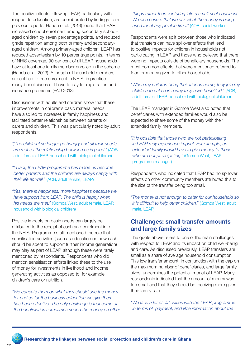The positive effects following LEAP, particularly with respect to education, are corroborated by findings from previous reports. Handa et al. (2013) found that LEAP increased school enrolment among secondary schoolaged children by seven percentage points, and reduced grade repetition among both primary and secondaryaged children. Among primary-aged children, LEAP has reduced absenteeism by 10 percentage points. In terms of NHIS coverage, 90 per cent of all LEAP households have at least one family member enrolled in the scheme (Handa et al. 2013). Although all household members are entitled to free enrolment in NHIS, in practice many beneficiaries still have to pay for registration and insurance premiums (FAO 2013).

Discussions with adults and children show that these improvements in children's basic material needs have also led to increases in family happiness and facilitated better relationships between parents or carers and children. This was particularly noted by adult respondents.

*"[The children] no longer go hungry and all their needs are met so the relationship between us is good."* (AOB, adult female, LEAP, household with biological children)

*"In fact, the LEAP programme has made us become better parents and the children are always happy with their life as well."* (AOB, adult female, LEAP)

*"Yes, there is happiness, more happiness because we have support from LEAP. The child is happy when his needs are met."* (Gomoa West, adult female, LEAP, household with biological children)

Positive impacts on basic needs can largely be attributed to the receipt of cash and enrolment into the NHIS. Programme staff mentioned the role that sensitisation activities (such as education on how cash should be spent to support further income generation) may play as part of LEAP, although these were rarely mentioned by respondents. Respondents who did mention sensitisation efforts linked these to the use of money for investments in livelihood and income generating activities as opposed to, for example, children's care or nutrition.

*"We educate them on what they should use the money for and so far the business education we give them has been effective. The only challenge is that some of the beneficiaries sometimes spend the money on other*  *things rather than venturing into a small-scale business. We also ensure that we ask what the money is being used for at any point in time."* (AOB, social worker)

Respondents were split between those who indicated that transfers can have spillover effects that lead to positive impacts for children in households not participating in LEAP and those who believed that there were no impacts outside of beneficiary households. The most common effects that were mentioned referred to food or money given to other households.

*"When my children bring their friends home, they join my children to eat so in a way they have benefited."* (AOB, adult female, LEAP, household with biological children)

The LEAP manager in Gomoa West also noted that beneficiaries with extended families would also be expected to share some of the money with their extended family members.

*"It is possible that those who are not participating in LEAP may experience impact. For example, an extended family would have to give money to those who are not participating."* (Gomoa West, LEAP programme manager)

Respondents who indicated that LEAP had no spillover effects on other community members attributed this to the size of the transfer being too small.

*"The money is not enough to cater for our household so it is difficult to help other children."* (Gomoa West, adult male, LEAP)

#### Challenges: small transfer amounts and large family sizes

The quote above refers to one of the main challenges with respect to LEAP and its impact on child well-being and care. As discussed previously, LEAP transfers are small as a share of average household consumption. This low transfer amount, in conjunction with the cap on the maximum number of beneficiaries, and large family sizes, undermines the potential impact of LEAP. Many respondents indicated that the amount of money was too small and that they should be receiving more given their family size.

*"We face a lot of difficulties with the LEAP programme in terms of payment, and little information about the* 

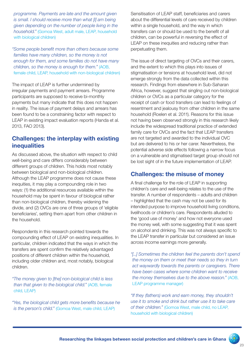*programme. Payments are late and the amount given is small. I should receive more than what [I] am being given depending on the number of people living in the household."* (Gomoa West, adult male, LEAP, household with biological children)

*"Some people benefit more than others because some families have many children, so the money is not enough for them, and some families do not have many children, so the money is enough for them."* (AOB, female child, LEAP, household with non-biological children)

The impact of LEAP is further undermined by irregular payments and payment arrears. Programme participants are supposed to receive bi-monthly payments but many indicate that this does not happen in reality. The issue of payment delays and arrears has been found to be a constraining factor with respect to LEAP in existing impact evaluation reports (Handa et al. 2013, FAO 2013).

#### Challenges: the interplay with existing **inequalities**

As discussed above, the situation with respect to child well-being and care differs considerably between different groups of children. This holds most notably between biological and non-biological children. Although the LEAP programme does not cause these inequities, it may play a compounding role in two ways: (1) the additional resources available within the household may be spent in favour of biological rather than non-biological children, thereby widening the divide, and (2) OVCs are one of three groups of 'eligible beneficiaries', setting them apart from other children in the household.

Respondents in this research pointed towards the compounding effect of LEAP on existing inequalities. In particular, children indicated that the ways in which the transfers are spent confirm the relatively advantaged positions of different children within the household, including older children and, most notably, biological children.

*"The money given to [the] non-biological child is less than that given to the biological child."* (AOB, female child, LEAP)

*"Yes, the biological child gets more benefits because he is the person's child."* (Gomoa West, male child, LEAP)

Sensitisation of LEAP staff, beneficiaries and carers about the differential levels of care received by children within a single household, and the way in which transfers can or should be used to the benefit of all children, can be powerful in reversing the effect of LEAP on these inequities and reducing rather than perpetuating them.

The issue of direct targeting of OVCs and their carers, and the extent to which this plays into issues of stigmatisation or tensions at household level, did not emerge strongly from the data collected within this research. Findings from elsewhere in Sub-Saharan Africa, however, suggest that singling out non-biological children or OVCs as a particular category for the receipt of cash or food transfers can lead to feelings of resentment and jealousy from other children in the same household (Roelen et al. 2011). Reasons for this issue not having been observed strongly in this research likely include the widespread traditional practice of extended family care for OVCs and the fact that LEAP transfers are not targeted and awarded to the individual OVC but are delivered to his or her carer. Nevertheless, the potential adverse side effects following a narrow focus on a vulnerable and stigmatised target group should not be lost sight of in the future implementation of LEAP.

#### Challenges: the misuse of money

A final challenge for the role of LEAP in supporting children's care and well-being relates to the use of the transfer. A number of respondents – adults and children – highlighted that the cash may not be used for its intended purpose to improve household living conditions, livelihoods or children's care. Respondents alluded to the 'good use of money' and how not everyone used the money well, with some suggesting that it was spent on alcohol and drinking. This was not always specific to the LEAP transfer in particular but considered an issue across income earnings more generally.

*"[...] Sometimes the children feel the parents don't spend the money on them or meet their needs so they in turn act waywardly towards the parents or caregivers. There have been cases where some children want to receive the money themselves due to the above reason."* (AOB, LEAP programme manager)

*"If they (fathers) work and earn money, they shouldn't use it to smoke and drink but rather use it to take care of their children."* (Gomoa West, male child, no LEAP, household with biological children)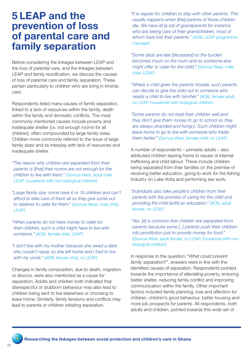# 5 LEAP and the prevention of loss of parental care and family separation

Before considering the linkages between LEAP and the loss of parental care, and the linkages between LEAP and family reunification, we discuss the causes of loss of parental care and family separation. These pertain particularly to children who are living in kinship care.

Respondents listed many causes of family separation, linked to a lack of resources within the family, death within the family and domestic conflicts. The most commonly mentioned causes include poverty and inadequate shelter (i.e. not enough rooms for all children), often compounded by large family sizes. Children more commonly referred to the issue of large family sizes and its interplay with lack of resources and inadequate shelter.

*"The reason why children are separated from their parents is [that] their rooms are not enough for the children to live with them."* (Gomoa West, adult male, LEAP, household with non-biological children)

*"Large family size: some have 6 or 10 children and can't afford to take care of them all so they give some out to relatives to cater for them."* (Gomoa West, male child, LEAP)

*"When parents do not have money to cater for their children, such a child might have to live with someone."* (AOB, female child, LEAP)

*"I don't live with my mother because she owed a debt she couldn't repay so she left home and I had to live with my uncle."* (AOB, female child, no LEAP)

Changes in family composition, due to death, migration or divorce, were also mentioned as a cause for separation. Adults and children both indicated that disrespectful or stubborn behaviour may also lead to children being sent to live elsewhere or choosing to leave home. Similarly, family tensions and conflicts may lead to parents or children initiating separation.

*"It is regular for children to stay with other parents. This usually happens when [the] parents of those children die. We have all [a lot] of grandparents for instance who are taking care of their grandchildren, most of whom have lost their parents."* (AOB, LEAP programme manager)

*"Some dads are late [deceased] so the burden becomes much on the mum and so someone else might offer to cater for the child."* (Gomoa West, male child, LEAP)

*"Where a child gives the parents trouble, such parents can decide to give the child out to someone who needs a child to live with him/her."* (AOB, female adult, no LEAP, household with biological children)

*"Some parents do not treat their children well and they don't give them money to go to school so they are always stranded and hungry. Such children might leave home to go to live with someone who treats them better."* (Gomoa West, female child, no LEAP)

A number of respondents – primarily adults – also attributed children leaving home to issues of internal trafficking and child labour. These include children being separated from their families on the premise of receiving better education, going to work for the fishing industry on Lake Volta and performing sex work.

*"Individuals also take people's children from their parents with the promise of caring for the child and providing the child [with] an education."* (AOB, adult female, no LEAP)

*"Yes, [it] is common that children are separated from parents because some [...] parents push their children into prostitution just to provide money for food."*  (Gomoa West, adult female, no LEAP, household with nonbiological children)

In response to the question: "*What could prevent family separation?*", answers were in line with the identified causes of separation. Respondents pointed towards the importance of alleviating poverty, ensuring better shelter, reducing family conflict and improving communication within the family. Other important factors included family planning, love and affection for children, children's good behaviour, better housing and more job prospects for parents. All respondents, both adults and children, pointed towards this wide set of

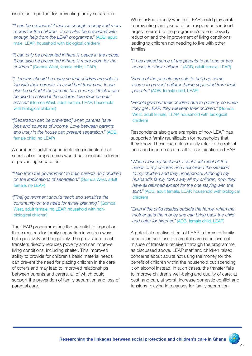issues as important for preventing family separation.

*"It can be prevented if there is enough money and more rooms for the children. It can also be prevented with enough help from the LEAP programme."* (AOB, adult male, LEAP, household with biological children)

*"It can only be prevented if there is peace in the house. It can also be prevented if there is more room for the children."* (Gomoa West, female child, LEAP)

*"[...] rooms should be many so that children are able to live with their parents, to avoid bad treatment. It can also be solved if the parents have money. I think it can be also be solved if the children take their parents' advice."* (Gomoa West, adult female, LEAP, household with biological children)

*"[Separation can be prevented] when parents have jobs and sources of income. Love between parents and unity in the house can prevent separation."* (AOB, female child, no LEAP)

A number of adult respondents also indicated that sensitisation programmes would be beneficial in terms of preventing separation.

*"Help from the government to train parents and children on the implications of separation."* (Gomoa West, adult female, no LEAP)

*"[The] government should teach and sensitise the community on the need for family planning."* (Gomoa West, adult female, no LEAP, household with nonbiological children)

The LEAP programme has the potential to impact on these reasons for family separation in various ways, both positively and negatively. The provision of cash transfers directly reduces poverty and can improve living conditions, including shelter. This improved ability to provide for children's basic material needs can prevent the need for placing children in the care of others and may lead to improved relationships between parents and carers, all of which could support the prevention of family separation and loss of parental care.

When asked directly whether LEAP could play a role in preventing family separation, respondents indeed largely referred to the programme's role in poverty reduction and the improvement of living conditions, leading to children not needing to live with other families.

*"It has helped some of the parents to get one or two houses for their children."* (AOB, adult female, LEAP)

*"Some of the parents are able to build up some rooms to prevent children being separated from their parents."* (AOB, female child, LEAP)

*"People give out their children due to poverty, so when they get LEAP, they will keep their children."* (Gomoa West, adult female, LEAP, household with biological children)

Respondents also gave examples of how LEAP has supported family reunification for households that they know. These examples mostly refer to the role of increased income as a result of participation in LEAP.

*"When I lost my husband, I could not meet all the needs of my children and I explained the situation to my children and they understood. Although my husband's family took away all my children, now they have all returned except for the one staying with the aunt."* (AOB, adult female, LEAP, household with biological children)

*"Even if the child resides outside the home, when the mother gets the money she can bring back the child and cater for him/her."* (AOB, female child, LEAP)

A potential negative effect of LEAP in terms of family separation and loss of parental care is the issue of misuse of transfers received through the programme, as discussed above. LEAP staff and children raised concerns about adults not using the money for the benefit of children within the household but spending it on alcohol instead. In such cases, the transfer fails to improve children's well-being and quality of care, at best, and can, at worst, increase domestic conflict and tensions, playing into causes for family separation.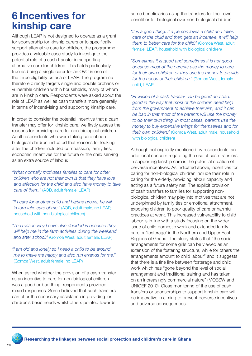# 6 Incentives for kinship care

Although LEAP is not designed to operate as a grant for sponsorship for kinship carers or to specifically support alternative care for children, the programme provides a valuable case study to investigate the potential role of a cash transfer in supporting alternative care for children. This holds particularly true as being a single carer for an OVC is one of the three eligibility criteria of LEAP. The programme therefore directly targets single and double orphans or vulnerable children within households, many of whom are in kinship care. Respondents were asked about the role of LEAP as well as cash transfers more generally in terms of incentivising and supporting kinship care.

In order to consider the potential incentive that a cash transfer may offer for kinship care, we firstly assess the reasons for providing care for non-biological children. Adult respondents who were taking care of nonbiological children indicated that reasons for looking after the children included compassion, family ties, economic incentives for the future or the child serving as an extra source of labour.

*"What normally motivates families to care for other children who are not their own is that they have love and affection for the child and also have money to take care of them."* (AOB, adult female, LEAP)

*"If I care for another child and he/she grows, he will in turn take care of me."* (AOB, adult male, no LEAP, household with non-biological children)

*"The reason why I have also decided is because they will help me in the farm activities during the weekend and after school."* (Gomoa West, adult female, LEAP)

*"I am old and lonely so I need a child to be around me to make me happy and also run errands for me."*  (Gomoa West, adult female, no LEAP)

When asked whether the provision of a cash transfer as an incentive to care for non-biological children was a good or bad thing, respondents provided mixed responses. Some believed that such transfers can offer the necessary assistance in providing for children's basic needs whilst others pointed towards

some beneficiaries using the transfers for their own benefit or for biological over non-biological children.

*"It is a good thing. If a person loves a child and takes care of the child and then gets an incentive, it will help them to better care for the child."* (Gomoa West, adult female, LEAP, household with biological children)

*"Sometimes it is good and sometimes it is not good because most of the parents use the money to care for their own children or they use the money to provide for the needs of their children."* (Gomoa West, female child, LEAP)

*"Provision of a cash transfer can be good and bad: good in the way that most of the children need help from the government to achieve their aim, and it can be bad in that most of the parents will use the money to do their own thing. In most cases, parents use the money to buy expensive things for themselves and for their own children."* (Gomoa West, adult male, household with biological children)

Although not explicitly mentioned by respondents, an additional concern regarding the use of cash transfers in supporting kinship care is the potential creation of perverse incentives. As indicated above, incentives for caring for non-biological children include their role in caring for the elderly, providing labour capacity and acting as a future safety net. The explicit provision of cash transfers to families for supporting nonbiological children may play into motives that are not underpinned by family ties or emotional attachment, exposing children to poor quality of care or harmful practices at work. This increased vulnerability to child labour is in line with a study focusing on the wider issue of child domestic work and extended family care or 'fosterage' in the Northern and Upper East Regions of Ghana. The study states that "the social arrangements for some girls can be viewed as an extension of the fostering structure, while for others the arrangements amount to child labour" and it suggests that there is a fine line between fosterage and child work which has "gone beyond the level of social arrangement and traditional training and has taken on an increasingly commercial nature" (MOESW and UNICEF 2010). Close monitoring of the use of cash transfers or sponsorships to support kinship care will be imperative in aiming to prevent perverse incentives and adverse consequences.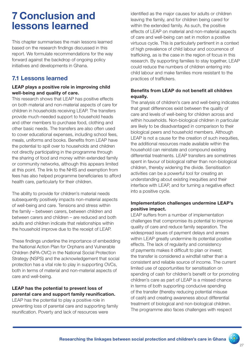# 7 Conclusion and lessons learned

This chapter summarises the main lessons learned based on the research findings discussed in this report. We formulate recommendations for the way forward against the backdrop of ongoing policy initiatives and developments in Ghana.

# 7.1 Lessons learned

#### LEAP plays a positive role in improving child well-being and quality of care.

This research shows that LEAP has positive effects on both material and non-material aspects of care for children in households receiving LEAP. The transfers provide much-needed support to household heads and other members to purchase food, clothing and other basic needs. The transfers are also often used to cover educational expenses, including school fees, meals, uniforms and books. Benefits from LEAP have the potential to spill over to households and children not directly participating in the programme through the sharing of food and money within extended family or community networks, although this appears limited at this point. The link to the NHIS and exemption from fees has also helped programme beneficiaries to afford health care, particularly for their children.

The ability to provide for children's material needs subsequently positively impacts non-material aspects of well-being and care. Tensions and stress within the family – between carers, between children and between carers and children – are reduced and both adults and children indicate that relationships within the household improve due to the receipt of LEAP.

These findings underline the importance of embedding the National Action Plan for Orphans and Vulnerable Children (NPA-OVC) in the National Social Protection Strategy (NSPS) and the acknowledgement that social protection has a vital role to play in supporting OVCs, both in terms of material and non-material aspects of care and well-being.

#### LEAP has the potential to prevent loss of parental care and support family reunification.

LEAP has the potential to play a positive role in preventing loss of parental care and supporting family reunification. Poverty and lack of resources were

identified as the major causes for adults or children leaving the family, and for children being cared for within the extended family. As such, the positive effects of LEAP on material and non-material aspects of care and well-being can set in motion a positive virtuous cycle. This is particularly pertinent in a context of high prevalence of child labour and occurrence of trafficking, as is the case in the region of focus in this research. By supporting families to stay together, LEAP could reduce the numbers of children entering into child labour and make families more resistant to the practices of traffickers.

#### Benefits from LEAP do not benefit all children equally.

The analysis of children's care and well-being indicates that great differences exist between the quality of care and levels of well-being for children across and within households. Non-biological children in particular are likely to be disadvantaged in comparison to their biological peers and household members. Although LEAP is not a cause for the creation of such inequities, the additional resources made available within the household can reinstate and compound existing differential treatments. LEAP transfers are sometimes spent in favour of biological rather than non-biological children, thereby widening the divide. Sensitisation activities can be a powerful tool for creating an understanding about existing inequities and their interface with LEAP, and for turning a negative effect into a positive cycle.

#### Implementation challenges undermine LEAP's positive impact.

LEAP suffers from a number of implementation challenges that compromise its potential to improve quality of care and reduce family separation. The widespread issues of payment delays and arrears within LEAP greatly undermine its potential positive effects. The lack of regularity and consistency of payments makes it difficult to plan or invest; the transfer is considered a windfall rather than a consistent and reliable source of income. The current limited use of opportunities for sensitisation on spending of cash for children's benefit or for promoting children's care as part of LEAP is a missed chance in terms of both supporting conducive spending of the transfer (thereby reducing potential misuse of cash) and creating awareness about differential treatment of biological and non-biological children. The programme also faces challenges with respect

XX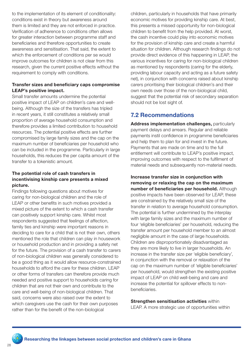to the implementation of its element of conditionality: conditions exist in theory but awareness around them is limited and they are not enforced in practice. Verification of adherence to conditions often allows for greater interaction between programme staff and beneficiaries and therefore opportunities to create awareness and sensitisation. That said, the extent to which the enforcement of conditions per se would improve outcomes for children is not clear from this research, given the current positive effects without the requirement to comply with conditions.

#### Transfer sizes and beneficiary caps compromise LEAP's positive impact.

Small transfer amounts undermine the potential positive impact of LEAP on children's care and wellbeing. Although the size of the transfers has tripled in recent years, it still constitutes a relatively small proportion of average household consumption and therefore provides a limited contribution to household resources. The potential positive effects are further compromised by large family sizes and the cap on the maximum number of beneficiaries per household who can be included in the programme. Particularly in large households, this reduces the per capita amount of the transfer to a tokenistic amount.

#### The potential role of cash transfers in incentivising kinship care presents a mixed picture.

Findings following questions about motives for caring for non-biological children and the role of LEAP or other benefits in such motives provided a mixed picture of the extent to which a cash transfer can positively support kinship care. Whilst most respondents suggested that feelings of affection, family ties and kinship were important reasons in deciding to care for a child that is not their own, others mentioned the role that children can play in housework or household production and in providing a safety net for the future. The provision of a cash transfer to carers of non-biological children was generally considered to be a good thing as it would allow resource-constrained households to afford the care for these children. LEAP or other forms of transfers can therefore provide much needed and positive support to households caring for children that are not their own and contribute to the care and well-being of non-biological children. That said, concerns were also raised over the extent to which caregivers use the cash for their own purposes rather than for the benefit of the non-biological

children, particularly in households that have primarily economic motives for providing kinship care. At best, this presents a missed opportunity for non-biological children to benefit from the help provided. At worst, the cash incentive could play into economic motives for the provision of kinship care and create a harmful situation for children. Although research findings do not provide direct evidence of this happening in LEAP, the various incentives for caring for non-biological children as mentioned by respondents (caring for the elderly, providing labour capacity and acting as a future safety net), in conjunction with concerns raised about kinship carers prioritising their biological children's and their own needs over those of the non-biological child, suggest that the potential risk of secondary separation should not be lost sight of.

# 7.2 Recommendations

Address implementation challenges, particularly payment delays and arrears. Regular and reliable payments instil confidence in programme beneficiaries and help them to plan for and invest in the future. Payments that are made on time and to the full entitlement will contribute to LEAP's positive impact, improving outcomes with respect to the fulfilment of material needs and subsequently non-material needs.

Increase transfer size in conjunction with removing or relaxing the cap on the maximum number of beneficiaries per household. Although positive impacts have been observed for LEAP, these are constrained by the relatively small size of the transfer in relation to average household consumption. The potential is further undermined by the interplay with large family sizes and the maximum number of four 'eligible beneficiaries' per household, reducing the transfer amount per household member to an almost negligible amount in the case of large households. Children are disproportionately disadvantaged as they are more likely to live in larger households. An increase in the transfer size per 'eligible beneficiary', in conjunction with the removal or relaxation of the cap on the maximum number of 'eligible beneficiaries' per household, would strengthen the existing positive impact of LEAP on child well-being and care and increase the potential for spillover effects to nonbeneficiaries.

**Strengthen sensitisation activities within** LEAP. A more strategic use of opportunities within

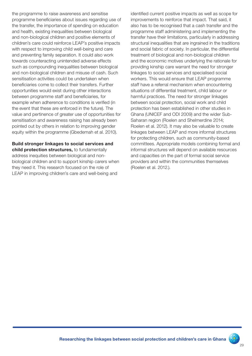the programme to raise awareness and sensitise programme beneficiaries about issues regarding use of the transfer, the importance of spending on education and health, existing inequalities between biological and non-biological children and positive elements of children's care could reinforce LEAP's positive impacts with respect to improving child well-being and care and preventing family separation. It could also work towards counteracting unintended adverse effects such as compounding inequalities between biological and non-biological children and misuse of cash. Such sensitisation activities could be undertaken when beneficiaries come to collect their transfers. Further opportunities would exist during other interactions between programme staff and beneficiaries, for example when adherence to conditions is verified (in the event that these are enforced in the future). The value and pertinence of greater use of opportunities for sensitisation and awareness raising has already been pointed out by others in relation to improving gender equity within the programme (Gbedemah et al. 2010).

Build stronger linkages to social services and child protection structures, to fundamentally address inequities between biological and nonbiological children and to support kinship carers when they need it. This research focused on the role of LEAP in improving children's care and well-being and

identified current positive impacts as well as scope for improvements to reinforce that impact. That said, it also has to be recognised that a cash transfer and the programme staff administering and implementing the transfer have their limitations, particularly in addressing structural inequalities that are ingrained in the traditions and social fabric of society. In particular, the differential treatment of biological and non-biological children and the economic motives underlying the rationale for providing kinship care warrant the need for stronger linkages to social services and specialised social workers. This would ensure that LEAP programme staff have a referral mechanism when encountering situations of differential treatment, child labour or harmful practices. The need for stronger linkages between social protection, social work and child protection has been established in other studies in Ghana (UNICEF and ODI 2009) and the wider Sub-Saharan region (Roelen and Shelmerdine 2014; Roelen et al. 2012). It may also be valuable to create linkages between LEAP and more informal structures for protecting children, such as community-based committees. Appropriate models combining formal and informal structures will depend on available resources and capacities on the part of formal social service providers and within the communities themselves (Roelen et al. 2012.).

RA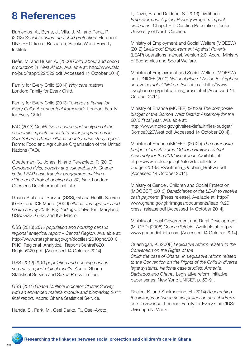# 8 References

Barrientos, A., Byrne, J., Villa, J. M., and Pena, P. (2013) *Social transfers and child protection.* Florence: UNICEF Office of Research; Brooks World Poverty Institute.

Bøås, M. and Huser, A. (2006) *Child labour and cocoa production in West Africa.* Available at: http://www.fafo. no/pub/rapp/522/522.pdf [Accessed 14 October 2014].

Family for Every Child (2014) *Why care matters.*  London: Family for Every Child.

Family for Every Child (2013) T*owards a Family for Every Child: A conceptual framework*. London: Family for Every Child.

FAO (2013) *Qualitative research and analyses of the economic impacts of cash transfer programmes in Sub-Saharan Africa. Ghana country case study report*. Rome: Food and Agriculture Organisation of the United Nations (FAO).

Gbedemah, C., Jones, N. and Pereznieto, P. (2010) *Gendered risks, poverty and vulnerability in Ghana: is the LEAP cash transfer programme making a difference? Project briefing No. 52, Nov.* London: Overseas Development Institute.

Ghana Statistical Service (GSS), Ghana Health Service (GHS), and ICF Macro (2009) *Ghana demographic and health survey 2008: Key findings.* Calverton, Maryland, USA: GSS, GHS, and ICF Macro.

GSS (2013) *2010 population and housing census regional analytical report – Central Region.* Available at: http://www.statsghana.gov.gh/docfiles/2010phc/2010\_ PHC\_Regional\_Analytical\_ReportsCentral%20 Region%20.pdf [Accessed 14 October 2014].

GSS (2012) *2010 population and housing census: summary report of final results.* Accra: Ghana Statistical Service and Sakoa Press Limited.

GSS (2011) G*hana Multiple Indicator Cluster Survey with an enhanced malaria module and biomarker, 2011: final report.* Accra: Ghana Statistical Service.

Handa, S., Park, M., Osei Darko, R., Osei-Akoto,

I., Davis, B. and Daidone, S. (2013) Livelihood *Empowerment Against Poverty Program impact evaluation.* Chapel Hill: Carolina Population Center, University of North Carolina.

Ministry of Employment and Social Welfare (MOESW) (2012) *Livelihood Empowerment Against Poverty* (LEAP) operations manual. Version 2.0. Accra: Ministry of Economics and Social Welfare.

Ministry of Employment and Social Welfare (MOESW) and UNICEF (2010) *National Plan of Action for Orphans and Vulnerable Children.* Available at: http://www. ovcghana.org/publications\_press.html [Accessed 14 October 2014].

Ministry of Finance (MOFEP) (2012a) *The composite budget of the Gomoa West District Assembly for the 2012 fiscal year.* Available at: http://www.mofep.gov.gh/sites/default/files/budget/ Gomoa%20West.pdf [Accessed 14 October 2014].

Ministry of Finance (MOFEP) (2012b) *The composite budget of the Asikuma Odoben Brakwa District Assembly for the 2012 fiscal year.* Available at: http://www.mofep.gov.gh/sites/default/files/ budget/2013/CR/Asikuma\_Odoben\_Brakwa.pdf [Accessed 14 October 2014].

Ministry of Gender, Children and Social Protection (MOGCSP) (2013) *Beneficiaries of the LEAP to receive cash payment*. [Press release]. Available at: http:// www.ghana.gov.gh/images/documents/leap\_%20 press\_release.pdf [Accessed 14 October 2014].

Ministry of Local Government and Rural Development (MLGRD) (2006) *Ghana districts.* Available at: http:// www.ghanadistricts.com [Accessed 14 October 2014].

Quashigah, K. (2008) *Legislative reform related to the Convention on the Rights of the Child: the case of Ghana. In Legislative reform related to the Convention on the Rights of the Child in diverse legal systems. National case studies: Armenia, Barbados and Ghana.* Legislative reform initiative paper series. New York: UNICEF, p. 59-91.

Roelen, K. and Shelmerdine, H. (2014) *Researching the linkages between social protection and children's care in Rwanda.* London: Family for Every Child/IDS/ Uyisenga Ni'Manzi.

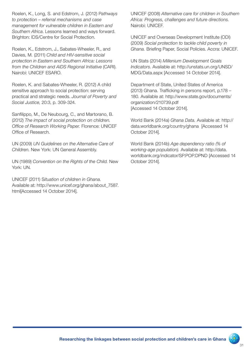Roelen, K., Long, S. and Edstrom, J. (2012) P*athways to protection – referral mechanisms and case management for vulnerable children in Eastern and Southern Africa*. Lessons learned and ways forward. Brighton: IDS/Centre for Social Protection.

Roelen, K., Edstrom, J., Sabates-Wheeler, R., and Davies, M. (2011) *Child and HIV-sensitive social protection in Eastern and Southern Africa: Lessons from the Children and AIDS Regional Initiative* (CARI). Nairobi: UNICEF ESARO.

Roelen, K. and Sabates-Wheeler, R. (2012) A child sensitive approach to social protection: serving practical and strategic needs. *Journal of Poverty and Social Justice*, 20:3, p. 309-324.

Sanfilippo, M., De Neubourg, C., and Martorano, B. (2012) *The impact of social protection on children. Office of Research Working Paper.* Florence: UNICEF Office of Research.

UN (2009) *UN Guidelines on the Alternative Care of Children.* New York: UN General Assembly.

UN (1989) *Convention on the Rights of the Child.* New York: UN.

UNICEF (2011) S*ituation of children in Ghana.*  Available at: http://www.unicef.org/ghana/about\_7587. html[Accessed 14 October 2014].

UNICEF (2008) *Alternative care for children in Southern Africa: Progress, challenges and future directions.*  Nairobi: UNICEF.

UNICEF and Overseas Development Institute (ODI) (2009) *Social protection to tackle child poverty in Ghana.* Briefing Paper, Social Policies. Accra: UNICEF.

UN Stats (2014) *Millenium Development Goals Indicators*. Available at: http://unstats.un.org/UNSD/ MDG/Data.aspx [Accessed 14 October 2014].

Department of State, United States of America (2013) Ghana. Trafficking in persons report, p.178 – 180. Available at: http://www.state.gov/documents/ organization/210739.pdf [Accessed 14 October 2014].

World Bank (2014a) *Ghana Data.* Available at: http:// data.worldbank.org/country/ghana [Accessed 14 October 2014].

World Bank (2014b) *Age dependency ratio (% of working-age population).* Available at: http://data. worldbank.org/indicator/SP.POP.DPND [Accessed 14 October 2014].